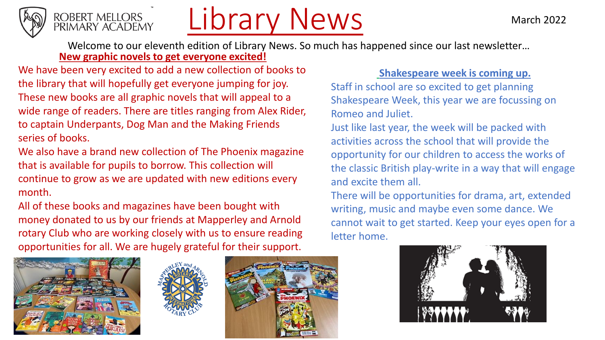



## Library News

Welcome to our eleventh edition of Library News. So much has happened since our last newsletter… **New graphic novels to get everyone excited!**

We have been very excited to add a new collection of books to the library that will hopefully get everyone jumping for joy. These new books are all graphic novels that will appeal to a wide range of readers. There are titles ranging from Alex Rider, to captain Underpants, Dog Man and the Making Friends series of books.

We also have a brand new collection of The Phoenix magazine that is available for pupils to borrow. This collection will continue to grow as we are updated with new editions every month.

All of these books and magazines have been bought with money donated to us by our friends at Mapperley and Arnold rotary Club who are working closely with us to ensure reading opportunities for all. We are hugely grateful for their support.







## **Shakespeare week is coming up.**

Staff in school are so excited to get planning Shakespeare Week, this year we are focussing on Romeo and Juliet.

Just like last year, the week will be packed with activities across the school that will provide the opportunity for our children to access the works of the classic British play-write in a way that will engage and excite them all.

There will be opportunities for drama, art, extended writing, music and maybe even some dance. We cannot wait to get started. Keep your eyes open for a letter home.